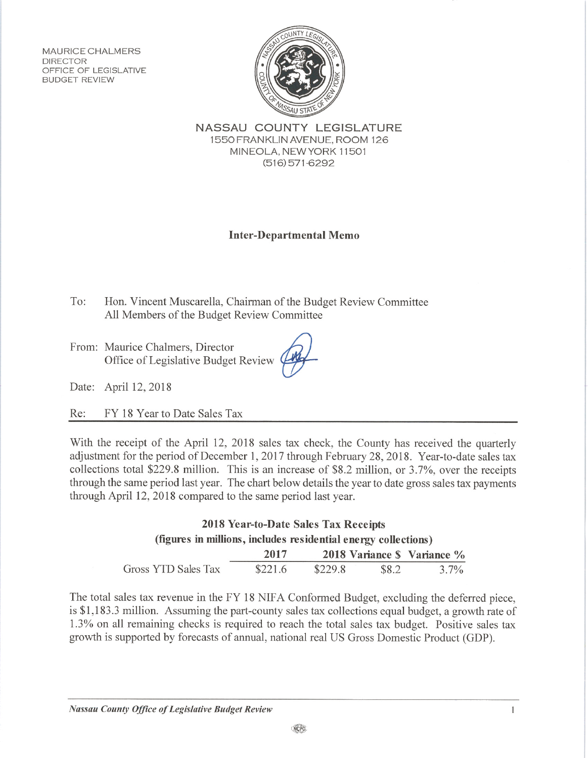**MAURICE CHALMERS** DIRECTOR OFFICE OF LEGISLATIVE **BUDGET REVIEW** 



NASSAU COUNTY LEGISLATURE 1550 FRANKLIN AVENUE, ROOM 126 MINEOLA, NEW YORK 11501  $(516)$  571-6292

## **Inter-Departmental Memo**

Hon. Vincent Muscarella, Chairman of the Budget Review Committee To: All Members of the Budget Review Committee

From: Maurice Chalmers, Director Office of Legislative Budget Review

Date: April 12, 2018

FY 18 Year to Date Sales Tax Re:

With the receipt of the April 12, 2018 sales tax check, the County has received the quarterly adjustment for the period of December 1, 2017 through February 28, 2018. Year-to-date sales tax collections total \$229.8 million. This is an increase of \$8.2 million, or 3.7%, over the receipts through the same period last year. The chart below details the year to date gross sales tax payments through April 12, 2018 compared to the same period last year.

## 2018 Year-to-Date Sales Tax Receipts (figures in millions, includes residential energy collections) 2018 Variance \$ Variance % 2017 Gross YTD Sales Tax \$221.6 3.7% \$229.8 \$8.2

The total sales tax revenue in the FY 18 NIFA Conformed Budget, excluding the deferred piece, is \$1,183.3 million. Assuming the part-county sales tax collections equal budget, a growth rate of 1.3% on all remaining checks is required to reach the total sales tax budget. Positive sales tax growth is supported by forecasts of annual, national real US Gross Domestic Product (GDP).

 $\mathbf{1}$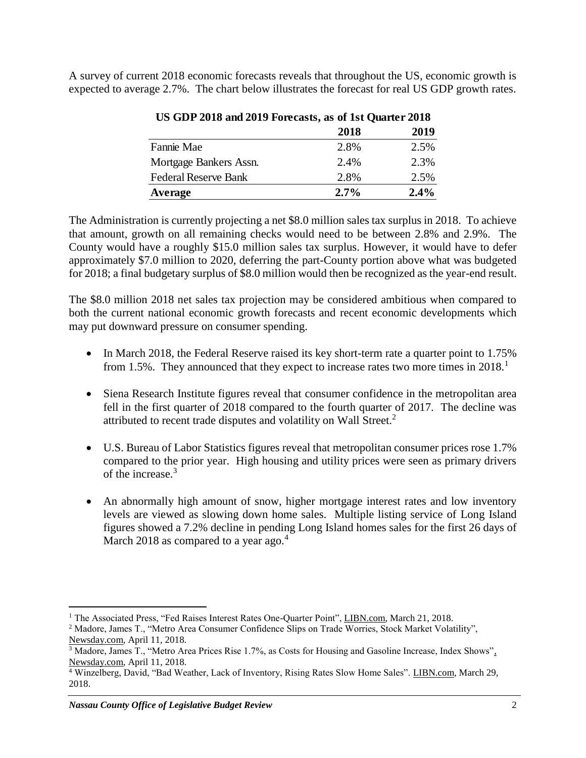A survey of current 2018 economic forecasts reveals that throughout the US, economic growth is expected to average 2.7%. The chart below illustrates the forecast for real US GDP growth rates.

| CD ODT 4010 and 4012 FORCasts, as of 1st Quarter 4010 |         |
|-------------------------------------------------------|---------|
| 2018                                                  | 2019    |
| 2.8%                                                  | 2.5%    |
| 2.4%                                                  | 2.3%    |
| 2.8%                                                  | 2.5%    |
| 2.7%                                                  | $2.4\%$ |
|                                                       |         |

**US GDP 2018 and 2019 Forecasts, as of 1st Quarter 2018**

The Administration is currently projecting a net \$8.0 million sales tax surplus in 2018. To achieve that amount, growth on all remaining checks would need to be between 2.8% and 2.9%. The County would have a roughly \$15.0 million sales tax surplus. However, it would have to defer approximately \$7.0 million to 2020, deferring the part-County portion above what was budgeted for 2018; a final budgetary surplus of \$8.0 million would then be recognized as the year-end result.

The \$8.0 million 2018 net sales tax projection may be considered ambitious when compared to both the current national economic growth forecasts and recent economic developments which may put downward pressure on consumer spending.

- In March 2018, the Federal Reserve raised its key short-term rate a quarter point to 1.75% from 1.5%. They announced that they expect to increase rates two more times in 2018.<sup>1</sup>
- Siena Research Institute figures reveal that consumer confidence in the metropolitan area fell in the first quarter of 2018 compared to the fourth quarter of 2017. The decline was attributed to recent trade disputes and volatility on Wall Street.<sup>2</sup>
- U.S. Bureau of Labor Statistics figures reveal that metropolitan consumer prices rose 1.7% compared to the prior year. High housing and utility prices were seen as primary drivers of the increase.<sup>3</sup>
- An abnormally high amount of snow, higher mortgage interest rates and low inventory levels are viewed as slowing down home sales. Multiple listing service of Long Island figures showed a 7.2% decline in pending Long Island homes sales for the first 26 days of March 2018 as compared to a year ago. $4$

 $\overline{a}$ <sup>1</sup> The Associated Press, "Fed Raises Interest Rates One-Quarter Point", LIBN.com, March 21, 2018.

<sup>2</sup> Madore, James T., "Metro Area Consumer Confidence Slips on Trade Worries, Stock Market Volatility", Newsday.com, April 11, 2018.

<sup>&</sup>lt;sup>3</sup> Madore, James T., "Metro Area Prices Rise 1.7%, as Costs for Housing and Gasoline Increase, Index Shows", Newsday.com, April 11, 2018.

<sup>&</sup>lt;sup>4</sup> Winzelberg, David, "Bad Weather, Lack of Inventory, Rising Rates Slow Home Sales". LIBN.com, March 29, 2018.